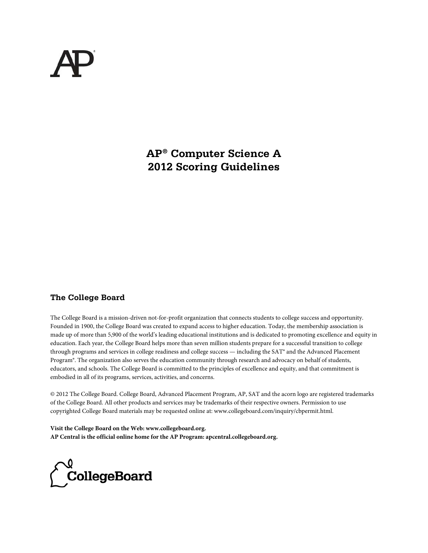**AP® Computer Science A 2012 Scoring Guidelines** 

# **The College Board**

The College Board is a mission-driven not-for-profit organization that connects students to college success and opportunity. Founded in 1900, the College Board was created to expand access to higher education. Today, the membership association is made up of more than 5,900 of the world's leading educational institutions and is dedicated to promoting excellence and equity in education. Each year, the College Board helps more than seven million students prepare for a successful transition to college through programs and services in college readiness and college success — including the SAT® and the Advanced Placement Program®. The organization also serves the education community through research and advocacy on behalf of students, educators, and schools. The College Board is committed to the principles of excellence and equity, and that commitment is embodied in all of its programs, services, activities, and concerns.

© 2012 The College Board. College Board, Advanced Placement Program, AP, SAT and the acorn logo are registered trademarks of the College Board. All other products and services may be trademarks of their respective owners. Permission to use copyrighted College Board materials may be requested online at: www.collegeboard.com/inquiry/cbpermit.html.

**Visit the College Board on the Web: www.collegeboard.org. AP Central is the official online home for the AP Program: apcentral.collegeboard.org.**

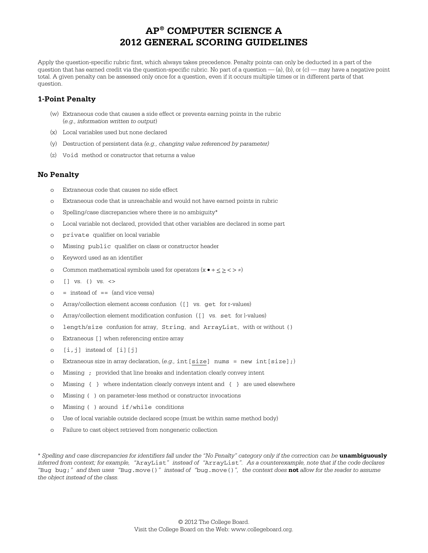Apply the question-specific rubric first, which always takes precedence. Penalty points can only be deducted in a part of the question that has earned credit via the question-specific rubric. No part of a question — (a), (b), or (c) — may have a negative point total. A given penalty can be assessed only once for a question, even if it occurs multiple times or in different parts of that question.

#### **1-Point Penalty**

- (w) Extraneous code that causes a side effect or prevents earning points in the rubric (*e.g., information written to output*)
- (x) Local variables used but none declared
- (y) Destruction of persistent data *(e.g., changing value referenced by parameter)*
- (z) Void method or constructor that returns a value

#### **No Penalty**

- Extraneous code that causes no side effect
- o Extraneous code that is unreachable and would not have earned points in rubric
- o Spelling/case discrepancies where there is no ambiguity\*
- o Local variable not declared, provided that other variables are declared in some part
- o private qualifier on local variable
- o Missing public qualifier on class or constructor header
- o Keyword used as an identifier
- o Common mathematical symbols used for operators  $(x \cdot + \langle \rangle \langle \rangle \neq)$
- o [] vs. () vs. <>
- $\circ$  = instead of == (and vice versa)
- o Array/collection element access confusion ([] vs. get for r-values)
- o Array/collection element modification confusion ([] vs. set for l-values)
- o length/size confusion for array, String, and ArrayList, with or without ()
- o Extraneous [] when referencing entire array
- o [i,j] instead of [i][j]
- o Extraneous size in array declaration, (*e.g.,* int[size] nums = new int[size];)
- o Missing ; provided that line breaks and indentation clearly convey intent
- o Missing { } where indentation clearly conveys intent and { } are used elsewhere
- o Missing ( ) on parameter-less method or constructor invocations
- o Missing ( ) around if/while conditions
- o Use of local variable outside declared scope (must be within same method body)
- o Failure to cast object retrieved from nongeneric collection

\* *Spelling and case discrepancies for identifiers fall under the "No Penalty" category only if the correction can be* **unambiguously** *inferred from context; for example, "*ArayList*" instead of "*ArrayList*". As a counterexample, note that if the code declares "*Bug bug;*" and then uses "*Bug.move()*" instead of "*bug.move()*", the context does* **not** *allow for the reader to assume the object instead of the class.*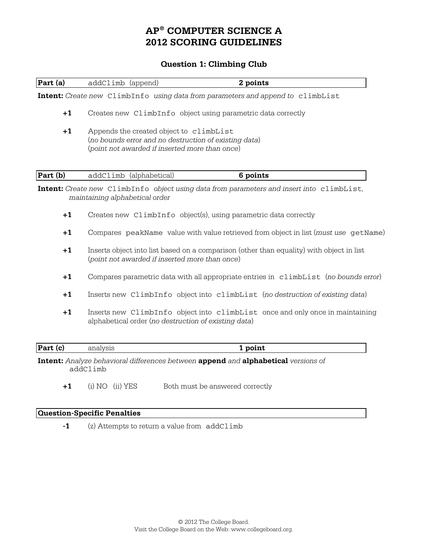## **Question 1: Climbing Club**

| Part (a) | addClimb (append)                                                                                                                                  | 2 points                                                                                         |  |  |
|----------|----------------------------------------------------------------------------------------------------------------------------------------------------|--------------------------------------------------------------------------------------------------|--|--|
|          |                                                                                                                                                    | <b>Intent:</b> Create new ClimbInfo using data from parameters and append to climbList           |  |  |
| $+1$     | Creates new ClimbInfo object using parametric data correctly                                                                                       |                                                                                                  |  |  |
| $+1$     | Appends the created object to climbList<br>(no bounds error and no destruction of existing data)<br>(point not awarded if inserted more than once) |                                                                                                  |  |  |
| Part(b)  | addClimb (alphabetical)                                                                                                                            | 6 points                                                                                         |  |  |
|          | maintaining alphabetical order                                                                                                                     | <b>Intent:</b> Create new ClimbInfo object using data from parameters and insert into climbList, |  |  |
| $+1$     | Creates new ClimbInfo object(s), using parametric data correctly                                                                                   |                                                                                                  |  |  |
| $+1$     | Compares peakName value with value retrieved from object in list (must use getName)                                                                |                                                                                                  |  |  |
| $+1$     | Inserts object into list based on a comparison (other than equality) with object in list<br>(point not awarded if inserted more than once)         |                                                                                                  |  |  |
| $+1$     | Compares parametric data with all appropriate entries in climbList (no bounds error)                                                               |                                                                                                  |  |  |
| $+1$     | Inserts new ClimbInfo object into climbList (no destruction of existing data)                                                                      |                                                                                                  |  |  |
| $+1$     | Inserts new ClimbInfo object into climbList once and only once in maintaining<br>alphabetical order (no destruction of existing data)              |                                                                                                  |  |  |
| Part (c) | analysis                                                                                                                                           | 1 point                                                                                          |  |  |

**Intent:** *Analyze behavioral differences between* **append** *and* **alphabetical** *versions of* addClimb

+1 (i) NO (ii) YES Both must be answered correctly

#### **Question-Specific Penalties**

**-1** (z) Attempts to return a value from addClimb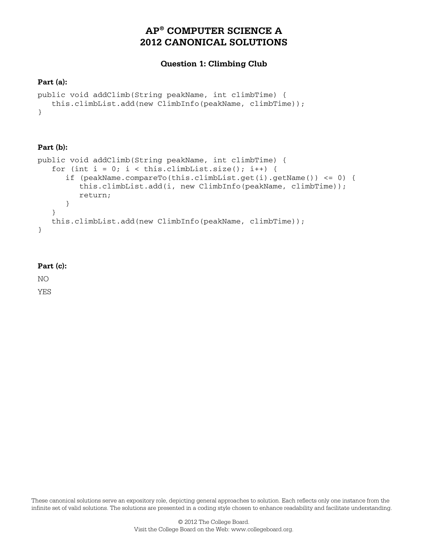# **Question 1: Climbing Club**

## **Part (a):**

```
public void addClimb(String peakName, int climbTime) { 
    this.climbList.add(new ClimbInfo(peakName, climbTime)); 
}
```
## **Part (b):**

```
public void addClimb(String peakName, int climbTime) { 
   for (int i = 0; i < this.climbList.size(); i++) {
       if (peakName.compareTo(this.climbList.get(i).getName()) <= 0) { 
          this.climbList.add(i, new ClimbInfo(peakName, climbTime)); 
          return; 
       } 
    } 
    this.climbList.add(new ClimbInfo(peakName, climbTime)); 
}
```
## **Part (c):**

NO

YES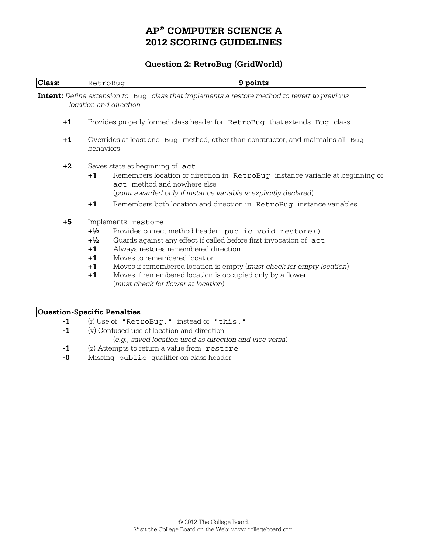## **Question 2: RetroBug (GridWorld)**

| Class:                             | RetroBug                                                                                      | 9 points                                                                                                                                                                                                                                                                                                                                                                                               |  |
|------------------------------------|-----------------------------------------------------------------------------------------------|--------------------------------------------------------------------------------------------------------------------------------------------------------------------------------------------------------------------------------------------------------------------------------------------------------------------------------------------------------------------------------------------------------|--|
|                                    |                                                                                               | <b>Intent:</b> Define extension to Bug class that implements a restore method to revert to previous<br>location and direction                                                                                                                                                                                                                                                                          |  |
| $+1$                               | Provides properly formed class header for RetroBug that extends Bug class                     |                                                                                                                                                                                                                                                                                                                                                                                                        |  |
| $+1$                               | Overrides at least one Bug method, other than constructor, and maintains all Bug<br>behaviors |                                                                                                                                                                                                                                                                                                                                                                                                        |  |
| $+2$                               | $+1$                                                                                          | Saves state at beginning of act<br>Remembers location or direction in RetroBug instance variable at beginning of<br>act method and nowhere else<br>(point awarded only if instance variable is explicitly declared)                                                                                                                                                                                    |  |
|                                    | $+1$                                                                                          | Remembers both location and direction in RetroBug instance variables                                                                                                                                                                                                                                                                                                                                   |  |
| $+5$                               | $+1/2$<br>$+ \frac{1}{2}$<br>$+1$<br>$+1$<br>$+1$<br>$+1$                                     | Implements restore<br>Provides correct method header: public void restore()<br>Guards against any effect if called before first invocation of act<br>Always restores remembered direction<br>Moves to remembered location<br>Moves if remembered location is empty (must check for empty location)<br>Moves if remembered location is occupied only by a flower<br>(must check for flower at location) |  |
| <b>Question-Specific Penalties</b> |                                                                                               |                                                                                                                                                                                                                                                                                                                                                                                                        |  |

- **-1** (r) Use of "RetroBug." instead of "this."
- **-1** (v) Confused use of location and direction
	- (*e.g., saved location used as direction and vice versa*)
- **-1** (z) Attempts to return a value from restore
- **-0** Missing public qualifier on class header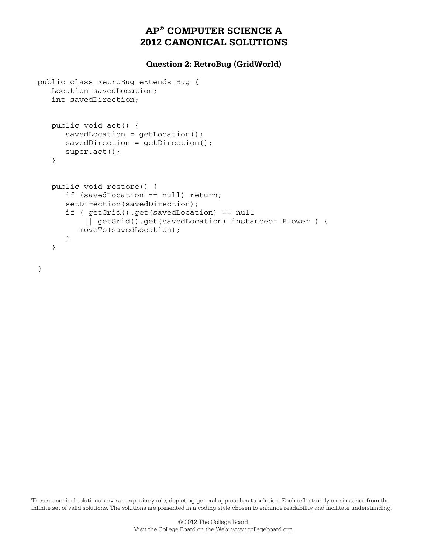## **Question 2: RetroBug (GridWorld)**

```
public class RetroBug extends Bug { 
    Location savedLocation; 
    int savedDirection; 
    public void act() { 
      savedLocation = getLocation();
      savedDirection = getDirection();
       super.act(); 
    } 
    public void restore() { 
       if (savedLocation == null) return; 
      setDirection(savedDirection);
       if ( getGrid().get(savedLocation) == null 
            || getGrid().get(savedLocation) instanceof Flower ) { 
          moveTo(savedLocation); 
       } 
    }
```
}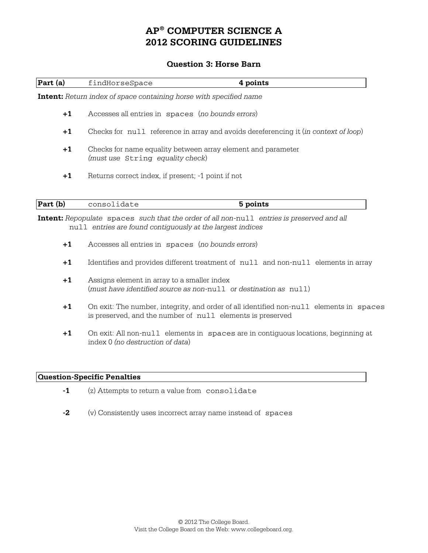## **Question 3: Horse Barn**

| Part (a) | findHorseSpace                                                                      | 4 points                                                                                         |  |
|----------|-------------------------------------------------------------------------------------|--------------------------------------------------------------------------------------------------|--|
|          | <b>Intent:</b> Return index of space containing horse with specified name           |                                                                                                  |  |
| $+1$     | Accesses all entries in spaces (no bounds errors)                                   |                                                                                                  |  |
| $+1$     | Checks for null reference in array and avoids dereferencing it (in context of loop) |                                                                                                  |  |
| $+1$     |                                                                                     | Checks for name equality between array element and parameter<br>(must use String equality check) |  |
| $+1$     | Returns correct index, if present; -1 point if not                                  |                                                                                                  |  |
| Part (b) | consolidate                                                                         | 5 points                                                                                         |  |

**Intent:** *Repopulate* spaces *such that the order of all non-*null *entries is preserved and all* null *entries are found contiguously at the largest indices* 

- **+1** Accesses all entries in spaces (*no bounds errors*)
- **+1** Identifies and provides different treatment of null and non-null elements in array
- **+1** Assigns element in array to a smaller index (*must have identified source as non-*null *or destination as* null)
- **+1** On exit: The number, integrity, and order of all identified non-null elements in spaces is preserved, and the number of null elements is preserved
- **+1** On exit: All non-null elements in spaces are in contiguous locations, beginning at index 0 *(no destruction of data*)

#### **Question-Specific Penalties**

- **-1** (z) Attempts to return a value from consolidate
- **-2** (v) Consistently uses incorrect array name instead of spaces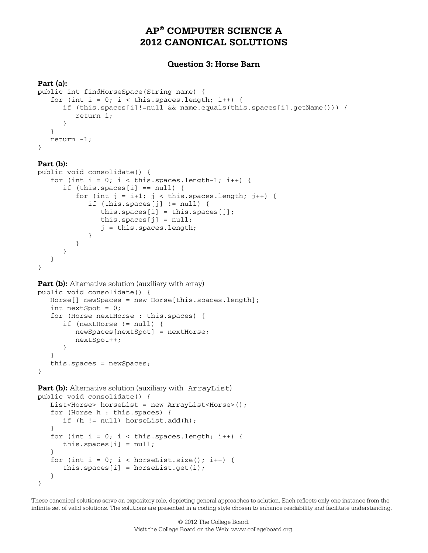## **Question 3: Horse Barn**

#### **Part (a):**

```
public int findHorseSpace(String name) { 
   for (int i = 0; i < this.spaces.length; i++) {
       if (this.spaces[i]!=null && name.equals(this.spaces[i].getName())) { 
          return i; 
       } 
    } 
    return -1; 
}
```
#### **Part (b):**

}

```
public void consolidate() { 
   for (int i = 0; i < this. spaces.length-1; i++) {
       if (this.spaces[i] == null) { 
         for (int j = i+1; j < this.spaces.length; j++) {
             if (this.spaces[j] != null) { 
               this.spaces[i] = this.spaces[j];
               this.spaces[j] = null; j = this.spaces.length; 
 } 
          } 
      } 
   }
```
Part (b): Alternative solution (auxiliary with array)

```
public void consolidate() { 
    Horse[] newSpaces = new Horse[this.spaces.length]; 
    int nextSpot = 0; 
    for (Horse nextHorse : this.spaces) { 
       if (nextHorse != null) { 
          newSpaces[nextSpot] = nextHorse; 
          nextSpot++; 
 } 
    } 
    this.spaces = newSpaces; 
}
```
**Part (b):** Alternative solution (auxiliary with ArrayList)

```
public void consolidate() { 
    List<Horse> horseList = new ArrayList<Horse>(); 
    for (Horse h : this.spaces) { 
       if (h != null) horseList.add(h); 
    } 
   for (int i = 0; i < this.spaces.length; i++) {
      this.spaces[i] = null;\mathfrak{z}for (int i = 0; i < horseList.size(); i++) {
      this.spaces[i] = horseList.get(i);
    } 
}
```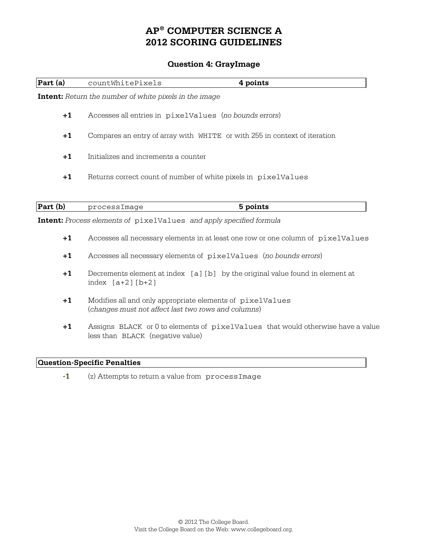## **Question 4: GrayImage**

| Part (a) | countWhitePixels                                                                 | 4 points                                                                      |  |
|----------|----------------------------------------------------------------------------------|-------------------------------------------------------------------------------|--|
|          | <b>Intent:</b> Return the number of white pixels in the image                    |                                                                               |  |
| $+1$     | Accesses all entries in pixelValues (no bounds errors)                           |                                                                               |  |
| $+1$     | Compares an entry of array with WHITE or with 255 in context of iteration        |                                                                               |  |
| $+1$     | Initializes and increments a counter                                             |                                                                               |  |
| $+1$     | Returns correct count of number of white pixels in pixelValues                   |                                                                               |  |
|          |                                                                                  |                                                                               |  |
| Part (b) | processImage                                                                     | 5 points                                                                      |  |
|          | Intent: Process elements of pixelValues and apply specified formula              |                                                                               |  |
| $+1$     | Accesses all necessary elements in at least one row or one column of pixelValues |                                                                               |  |
| $+1$     | Accesses all necessary elements of pixelValues (no bounds errors)                |                                                                               |  |
| $+1$     | index $[a+2] [b+2]$                                                              | Decrements element at index [a] [b] by the original value found in element at |  |
|          |                                                                                  |                                                                               |  |

- **+1** Modifies all and only appropriate elements of pixelValues (*changes must not affect last two rows and columns*)
- **+1** Assigns BLACK or 0 to elements of pixelValues that would otherwise have a value less than BLACK (negative value)

## **Question-Specific Penalties**

-1 (z) Attempts to return a value from processImage